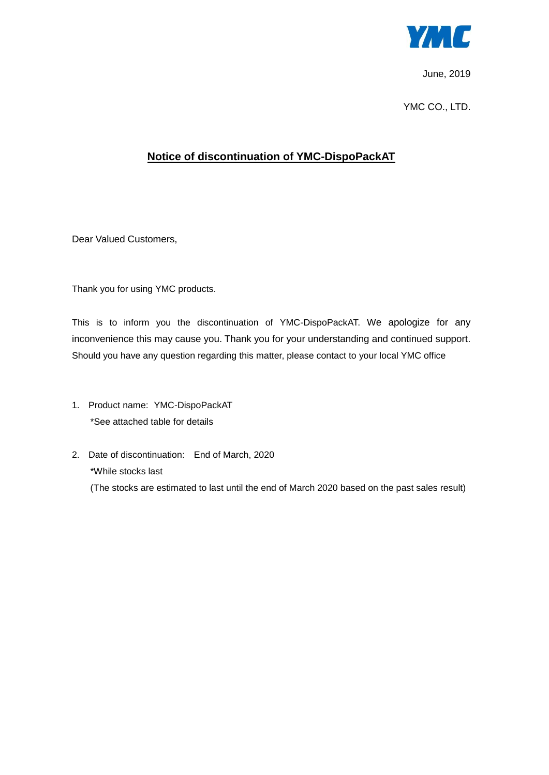

June, 2019

YMC CO., LTD.

## **Notice of discontinuation of YMC-DispoPackAT**

Dear Valued Customers,

Thank you for using YMC products.

This is to inform you the discontinuation of YMC-DispoPackAT. We apologize for any inconvenience this may cause you. Thank you for your understanding and continued support. Should you have any question regarding this matter, please contact to your local YMC office

- 1. Product name: YMC-DispoPackAT \*See attached table for details
- 2. Date of discontinuation: End of March, 2020 \*While stocks last (The stocks are estimated to last until the end of March 2020 based on the past sales result)